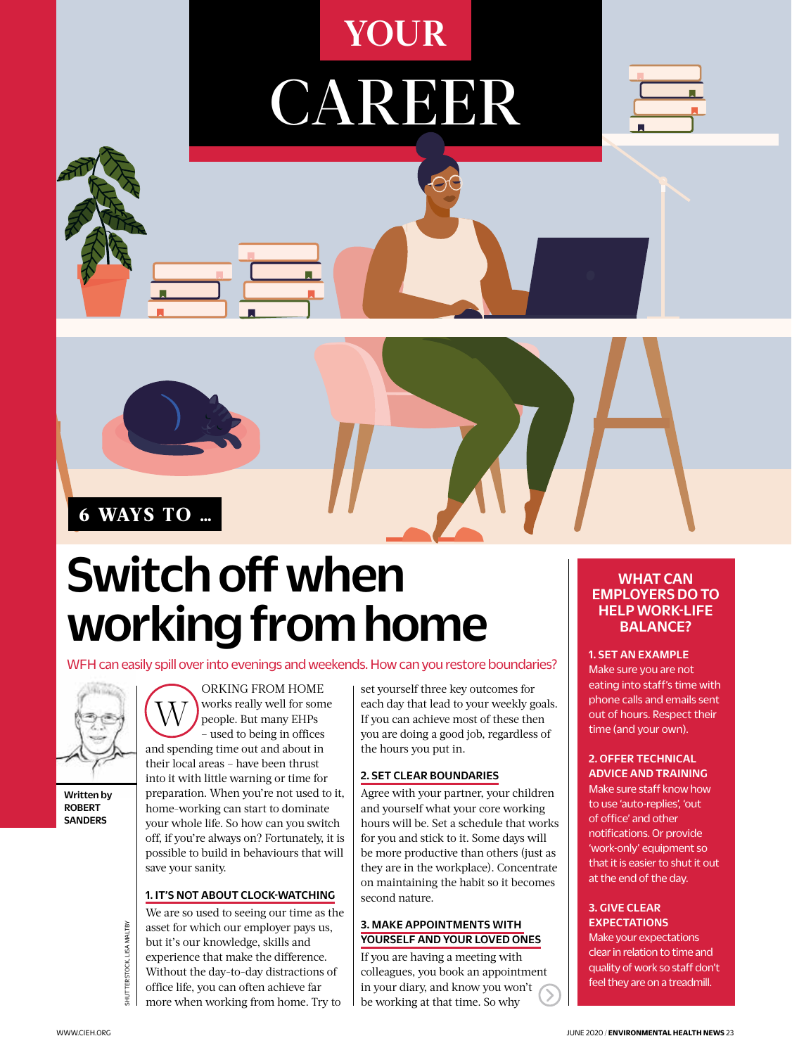## **YOUR**

CAREER





## Switch off when working from home

ORKING FROM HOME

WFH can easily spill over into evenings and weekends. How can you restore boundaries?



Written by **POREPT** SANDERS

W works really well for some people. But many EHPs – used to being in offices and spending time out and about in their local areas – have been thrust into it with little warning or time for preparation. When you're not used to it, home-working can start to dominate your whole life. So how can you switch off, if you're always on? Fortunately, it is possible to build in behaviours that will save your sanity.

### 1. IT'S NOT ABOUT CLOCK-WATCHING

Expectations<br>
Expectations<br>
Sunt it's our knowledge, skills and<br>
Experience that make the difference.<br>
Without the day-to-day distractions of<br>
The sunterstand  $\frac{1}{2}$ <br>
Sunting a meeting with<br>
Sunter in relation to time We are so used to seeing our time as the asset for which our employer pays us, but it's our knowledge, skills and experience that make the difference. Without the day-to-day distractions of office life, you can often achieve far more when working from home. Try to

set yourself three key outcomes for each day that lead to your weekly goals. If you can achieve most of these then you are doing a good job, regardless of the hours you put in.

### 2. SET CLEAR BOUNDARIES

Agree with your partner, your children and yourself what your core working hours will be. Set a schedule that works for you and stick to it. Some days will be more productive than others (just as they are in the workplace). Concentrate on maintaining the habit so it becomes second nature.

### 3. MAKE APPOINTMENTS WITH YOURSELF AND YOUR LOVED ONES

If you are having a meeting with colleagues, you book an appointment in your diary, and know you won't be working at that time. So why

### WHAT CAN EMPLOYERS DO TO HELP WORK-LIFE BALANCE?

#### 1. SET AN EXAMPLE

Make sure you are not eating into staff's time with phone calls and emails sent out of hours. Respect their time (and your own).

### 2. OFFER TECHNICAL

ADVICE AND TRAINING Make sure staff know how to use 'auto-replies', 'out of office' and other notifications. Or provide 'work-only' equipment so that it is easier to shut it out at the end of the day.

### 3. GIVE CLEAR **EXPECTATIONS**

Make your expectations clear in relation to time and quality of work so staff don't feel they are on a treadmill.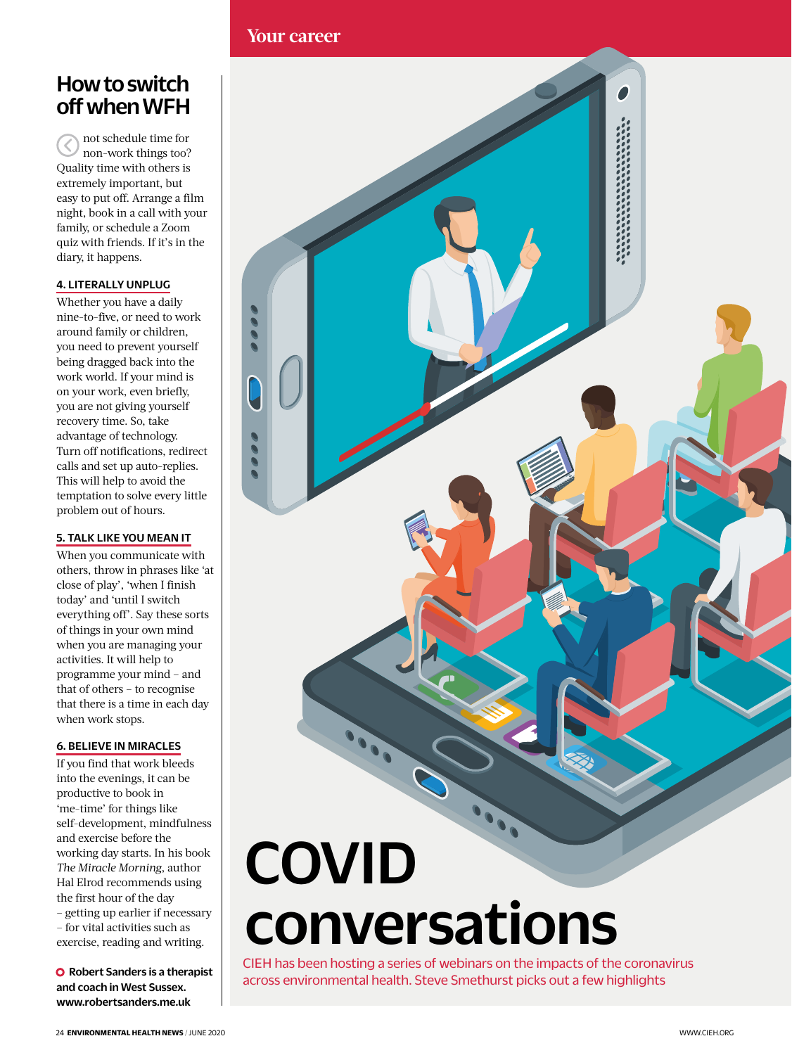### How to switch off when WFH

not schedule time for Z non-work things too? Quality time with others is extremely important, but easy to put off. Arrange a film night, book in a call with your family, or schedule a Zoom quiz with friends. If it's in the diary, it happens.

### 4. LITERALLY UNPLUG

Whether you have a daily nine-to-five, or need to work around family or children, you need to prevent yourself being dragged back into the work world. If your mind is on your work, even briefly, you are not giving yourself recovery time. So, take advantage of technology. Turn off notifications, redirect calls and set up auto-replies. This will help to avoid the temptation to solve every little problem out of hours.

### 5. TALK LIKE YOU MEAN IT

When you communicate with others, throw in phrases like 'at close of play', 'when I finish today' and 'until I switch everything off'. Say these sorts of things in your own mind when you are managing your activities. It will help to programme your mind – and that of others – to recognise that there is a time in each day when work stops.

### 6. BELIEVE IN MIRACLES

If you find that work bleeds into the evenings, it can be productive to book in 'me-time' for things like self-development, mindfulness and exercise before the working day starts. In his book *The Miracle Morning*, author Hal Elrod recommends using the first hour of the day – getting up earlier if necessary – for vital activities such as exercise, reading and writing.

**O** Robert Sanders is a therapist and coach in West Sussex. www.robertsanders.me.uk



# conversations

CIEH has been hosting a series of webinars on the impacts of the coronavirus across environmental health. Steve Smethurst picks out a few highlights